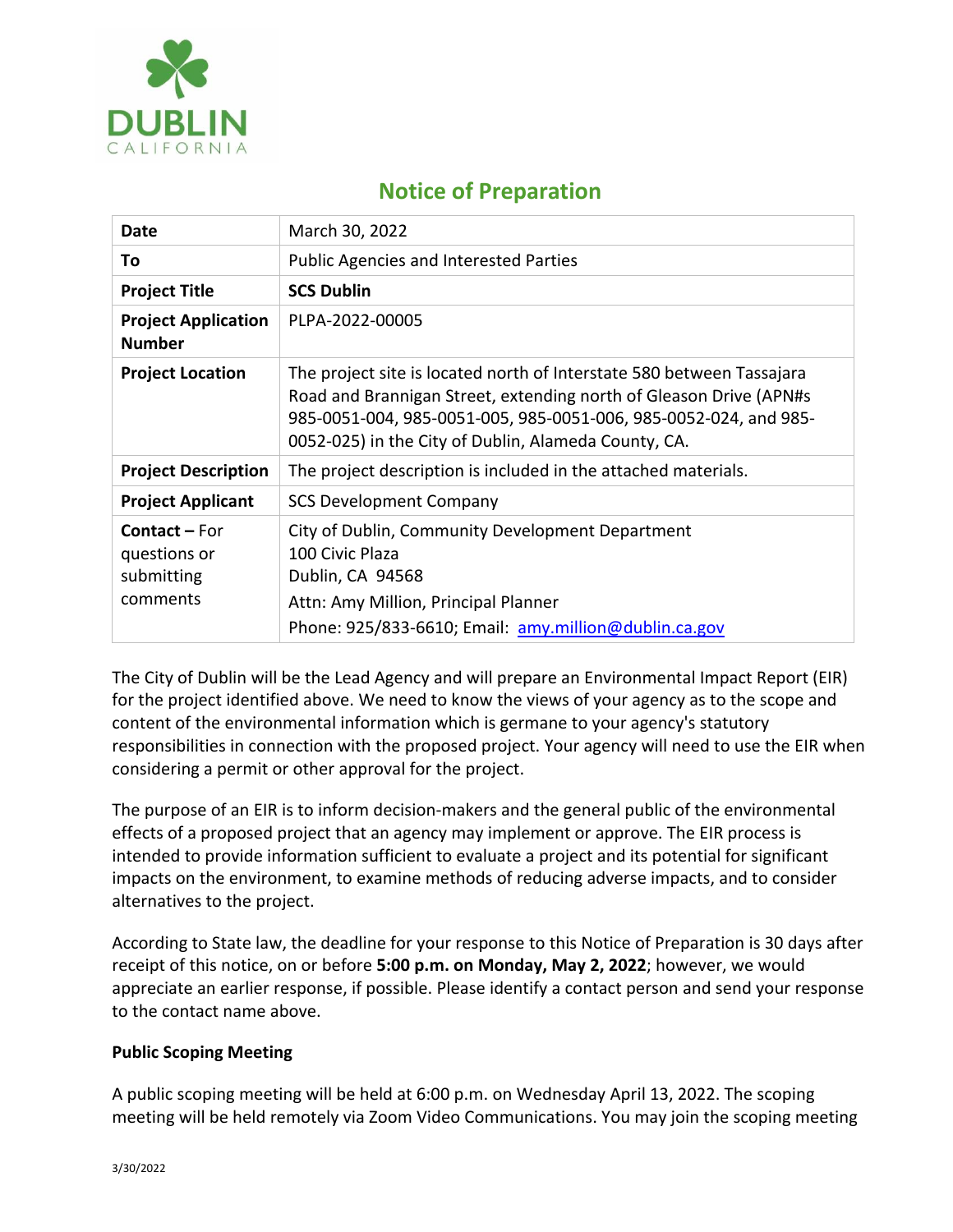

# **Notice of Preparation**

| <b>Date</b>                                                    | March 30, 2022                                                                                                                                                                                                                                                          |
|----------------------------------------------------------------|-------------------------------------------------------------------------------------------------------------------------------------------------------------------------------------------------------------------------------------------------------------------------|
| To                                                             | <b>Public Agencies and Interested Parties</b>                                                                                                                                                                                                                           |
| <b>Project Title</b>                                           | <b>SCS Dublin</b>                                                                                                                                                                                                                                                       |
| <b>Project Application</b><br><b>Number</b>                    | PLPA-2022-00005                                                                                                                                                                                                                                                         |
| <b>Project Location</b>                                        | The project site is located north of Interstate 580 between Tassajara<br>Road and Brannigan Street, extending north of Gleason Drive (APN#s<br>985-0051-004, 985-0051-005, 985-0051-006, 985-0052-024, and 985-<br>0052-025) in the City of Dublin, Alameda County, CA. |
| <b>Project Description</b>                                     | The project description is included in the attached materials.                                                                                                                                                                                                          |
| <b>Project Applicant</b>                                       | <b>SCS Development Company</b>                                                                                                                                                                                                                                          |
| <b>Contact – For</b><br>questions or<br>submitting<br>comments | City of Dublin, Community Development Department<br>100 Civic Plaza<br>Dublin, CA 94568<br>Attn: Amy Million, Principal Planner<br>Phone: 925/833-6610; Email: amy.million@dublin.ca.gov                                                                                |

The City of Dublin will be the Lead Agency and will prepare an Environmental Impact Report (EIR) for the project identified above. We need to know the views of your agency as to the scope and content of the environmental information which is germane to your agency's statutory responsibilities in connection with the proposed project. Your agency will need to use the EIR when considering a permit or other approval for the project.

The purpose of an EIR is to inform decision-makers and the general public of the environmental effects of a proposed project that an agency may implement or approve. The EIR process is intended to provide information sufficient to evaluate a project and its potential for significant impacts on the environment, to examine methods of reducing adverse impacts, and to consider alternatives to the project.

According to State law, the deadline for your response to this Notice of Preparation is 30 days after receipt of this notice, on or before **5:00 p.m. on Monday, May 2, 2022**; however, we would appreciate an earlier response, if possible. Please identify a contact person and send your response to the contact name above.

# **Public Scoping Meeting**

A public scoping meeting will be held at 6:00 p.m. on Wednesday April 13, 2022. The scoping meeting will be held remotely via Zoom Video Communications. You may join the scoping meeting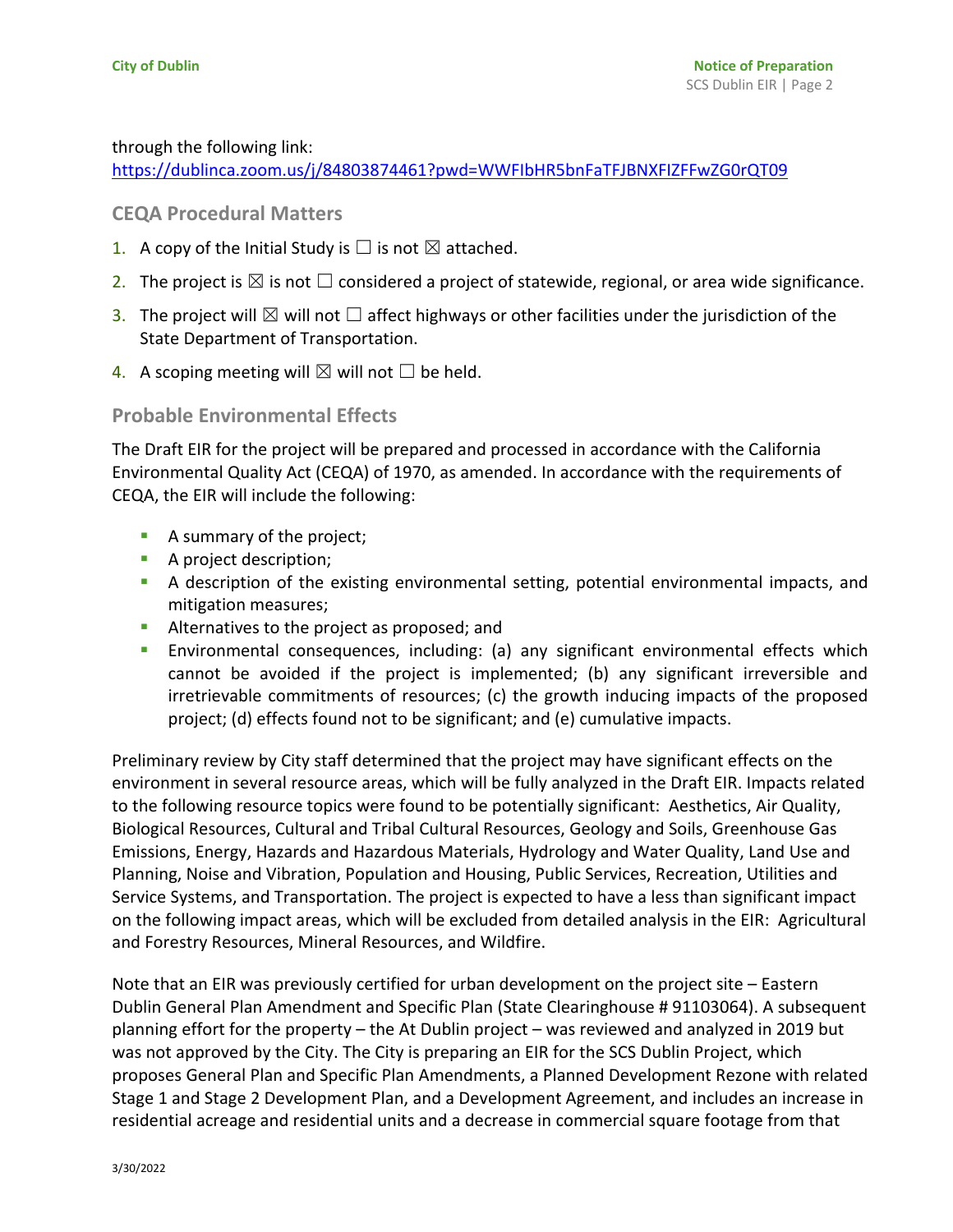#### through the following link:

<https://dublinca.zoom.us/j/84803874461?pwd=WWFIbHR5bnFaTFJBNXFIZFFwZG0rQT09>

# **CEQA Procedural Matters**

- 1. A copy of the Initial Study is  $\Box$  is not  $\boxtimes$  attached.
- 2. The project is  $\boxtimes$  is not  $\Box$  considered a project of statewide, regional, or area wide significance.
- 3. The project will  $\boxtimes$  will not  $\Box$  affect highways or other facilities under the jurisdiction of the State Department of Transportation.
- 4. A scoping meeting will  $\boxtimes$  will not  $\Box$  be held.

## **Probable Environmental Effects**

The Draft EIR for the project will be prepared and processed in accordance with the California Environmental Quality Act (CEQA) of 1970, as amended. In accordance with the requirements of CEQA, the EIR will include the following:

- A summary of the project;
- A project description;
- A description of the existing environmental setting, potential environmental impacts, and mitigation measures;
- Alternatives to the project as proposed; and
- **E** Environmental consequences, including: (a) any significant environmental effects which cannot be avoided if the project is implemented; (b) any significant irreversible and irretrievable commitments of resources; (c) the growth inducing impacts of the proposed project; (d) effects found not to be significant; and (e) cumulative impacts.

Preliminary review by City staff determined that the project may have significant effects on the environment in several resource areas, which will be fully analyzed in the Draft EIR. Impacts related to the following resource topics were found to be potentially significant: Aesthetics, Air Quality, Biological Resources, Cultural and Tribal Cultural Resources, Geology and Soils, Greenhouse Gas Emissions, Energy, Hazards and Hazardous Materials, Hydrology and Water Quality, Land Use and Planning, Noise and Vibration, Population and Housing, Public Services, Recreation, Utilities and Service Systems, and Transportation. The project is expected to have a less than significant impact on the following impact areas, which will be excluded from detailed analysis in the EIR: Agricultural and Forestry Resources, Mineral Resources, and Wildfire.

Note that an EIR was previously certified for urban development on the project site – Eastern Dublin General Plan Amendment and Specific Plan (State Clearinghouse # 91103064). A subsequent planning effort for the property – the At Dublin project – was reviewed and analyzed in 2019 but was not approved by the City. The City is preparing an EIR for the SCS Dublin Project, which proposes General Plan and Specific Plan Amendments, a Planned Development Rezone with related Stage 1 and Stage 2 Development Plan, and a Development Agreement, and includes an increase in residential acreage and residential units and a decrease in commercial square footage from that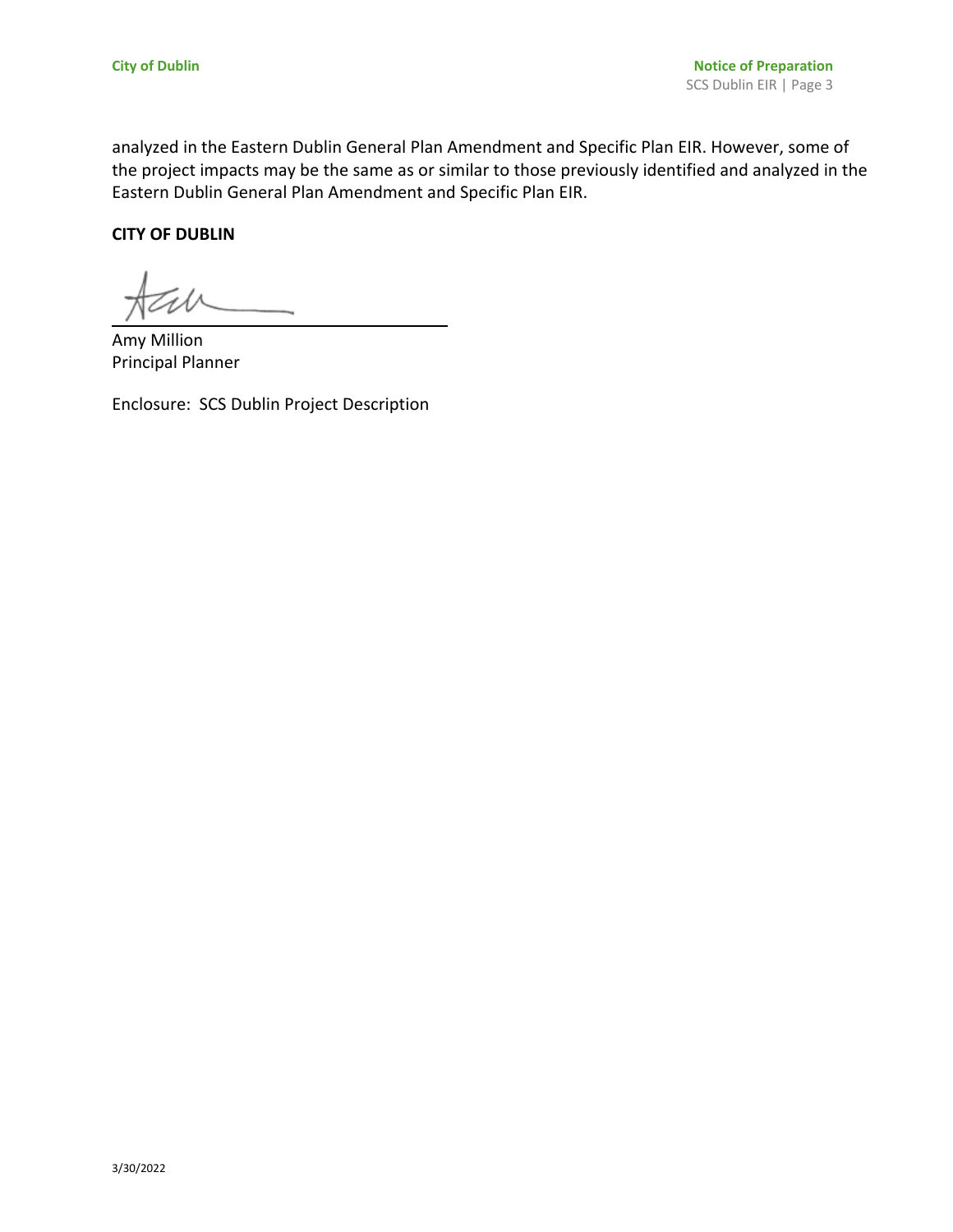analyzed in the Eastern Dublin General Plan Amendment and Specific Plan EIR. However, some of the project impacts may be the same as or similar to those previously identified and analyzed in the Eastern Dublin General Plan Amendment and Specific Plan EIR.

#### **CITY OF DUBLIN**

Amy Million Principal Planner

Enclosure: SCS Dublin Project Description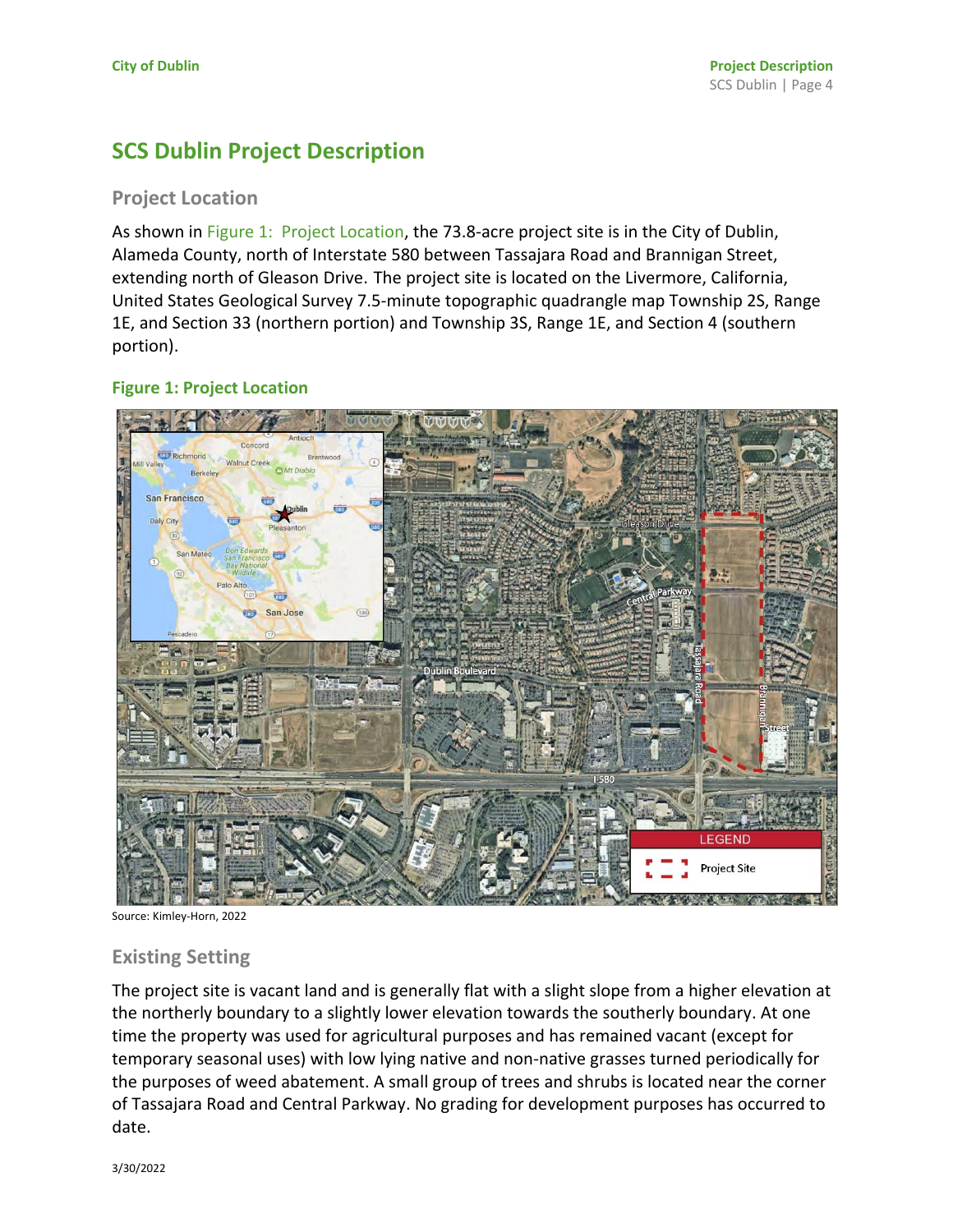# **SCS Dublin Project Description**

# **Project Location**

As shown in Figure 1: Project Location, the 73.8-acre project site is in the City of Dublin, Alameda County, north of Interstate 580 between Tassajara Road and Brannigan Street, extending north of Gleason Drive. The project site is located on the Livermore, California, United States Geological Survey 7.5-minute topographic quadrangle map Township 2S, Range 1E, and Section 33 (northern portion) and Township 3S, Range 1E, and Section 4 (southern portion).

## **Figure 1: Project Location**



Source: Kimley-Horn, 2022

# **Existing Setting**

The project site is vacant land and is generally flat with a slight slope from a higher elevation at the northerly boundary to a slightly lower elevation towards the southerly boundary. At one time the property was used for agricultural purposes and has remained vacant (except for temporary seasonal uses) with low lying native and non-native grasses turned periodically for the purposes of weed abatement. A small group of trees and shrubs is located near the corner of Tassajara Road and Central Parkway. No grading for development purposes has occurred to date.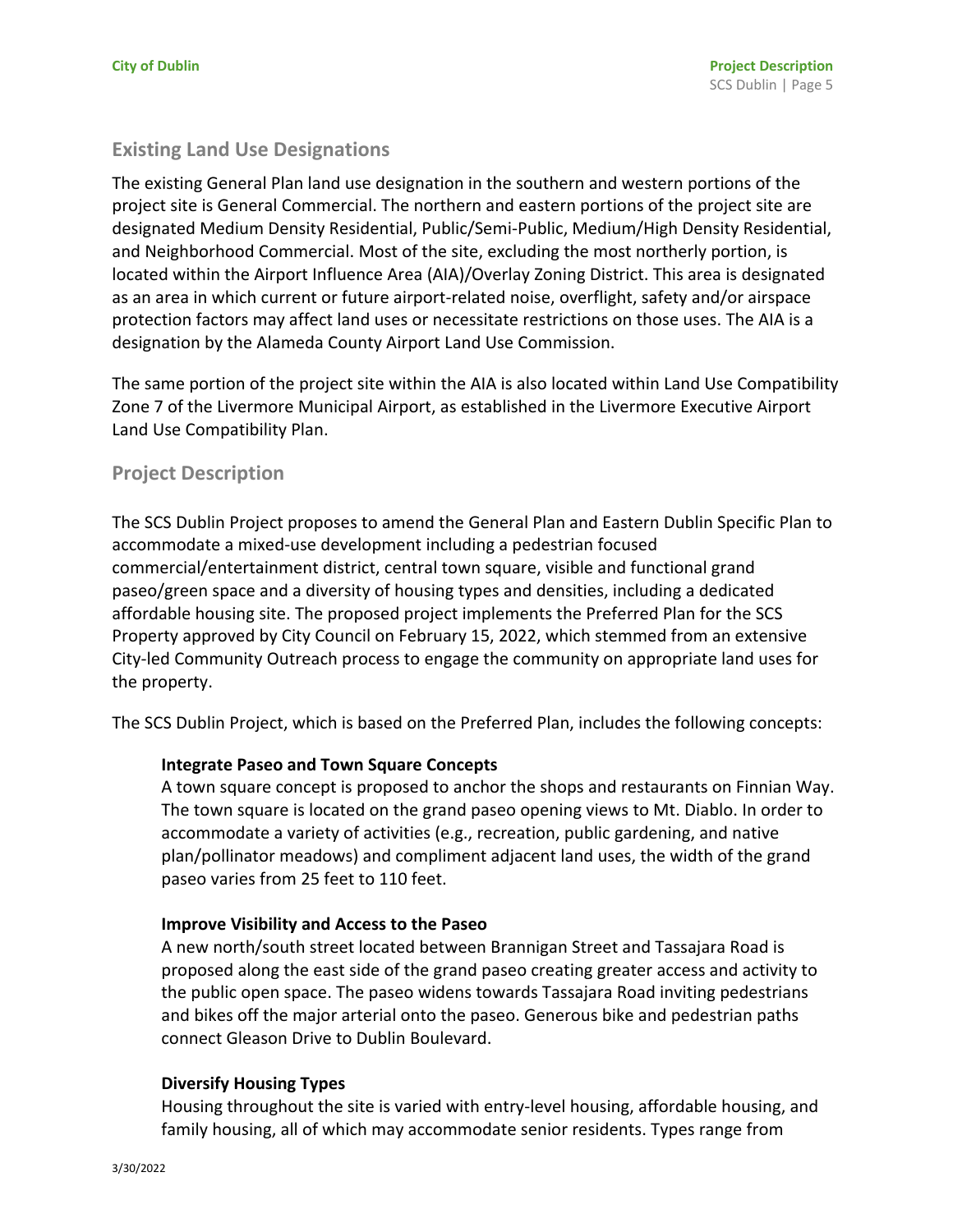# **Existing Land Use Designations**

The existing General Plan land use designation in the southern and western portions of the project site is General Commercial. The northern and eastern portions of the project site are designated Medium Density Residential, Public/Semi-Public, Medium/High Density Residential, and Neighborhood Commercial. Most of the site, excluding the most northerly portion, is located within the Airport Influence Area (AIA)/Overlay Zoning District. This area is designated as an area in which current or future airport-related noise, overflight, safety and/or airspace protection factors may affect land uses or necessitate restrictions on those uses. The AIA is a designation by the Alameda County Airport Land Use Commission.

The same portion of the project site within the AIA is also located within Land Use Compatibility Zone 7 of the Livermore Municipal Airport, as established in the Livermore Executive Airport Land Use Compatibility Plan.

# **Project Description**

The SCS Dublin Project proposes to amend the General Plan and Eastern Dublin Specific Plan to accommodate a mixed-use development including a pedestrian focused commercial/entertainment district, central town square, visible and functional grand paseo/green space and a diversity of housing types and densities, including a dedicated affordable housing site. The proposed project implements the Preferred Plan for the SCS Property approved by City Council on February 15, 2022, which stemmed from an extensive City-led Community Outreach process to engage the community on appropriate land uses for the property.

The SCS Dublin Project, which is based on the Preferred Plan, includes the following concepts:

#### **Integrate Paseo and Town Square Concepts**

A town square concept is proposed to anchor the shops and restaurants on Finnian Way. The town square is located on the grand paseo opening views to Mt. Diablo. In order to accommodate a variety of activities (e.g., recreation, public gardening, and native plan/pollinator meadows) and compliment adjacent land uses, the width of the grand paseo varies from 25 feet to 110 feet.

#### **Improve Visibility and Access to the Paseo**

A new north/south street located between Brannigan Street and Tassajara Road is proposed along the east side of the grand paseo creating greater access and activity to the public open space. The paseo widens towards Tassajara Road inviting pedestrians and bikes off the major arterial onto the paseo. Generous bike and pedestrian paths connect Gleason Drive to Dublin Boulevard.

#### **Diversify Housing Types**

Housing throughout the site is varied with entry-level housing, affordable housing, and family housing, all of which may accommodate senior residents. Types range from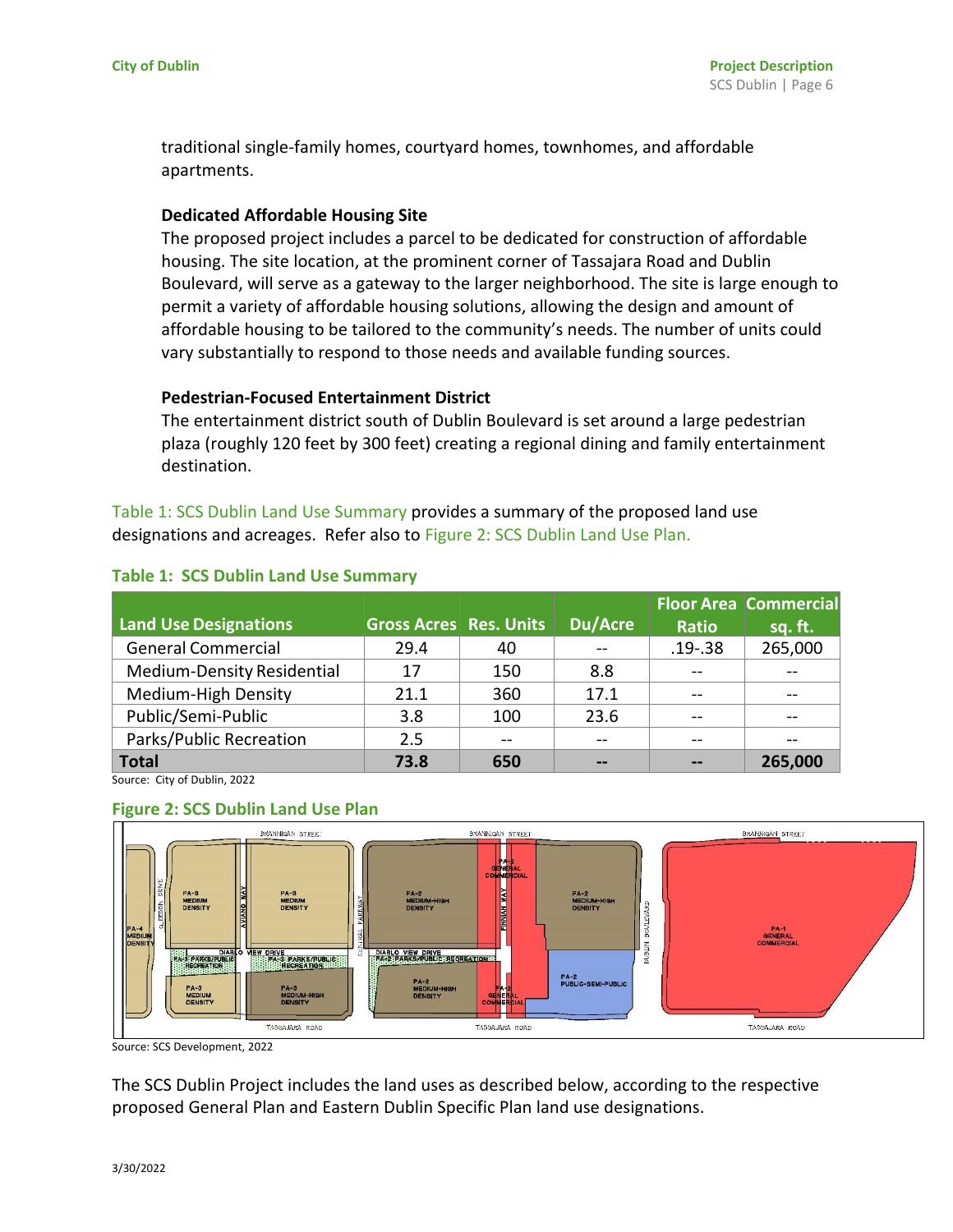traditional single-family homes, courtyard homes, townhomes, and affordable apartments.

#### **Dedicated Affordable Housing Site**

The proposed project includes a parcel to be dedicated for construction of affordable housing. The site location, at the prominent corner of Tassajara Road and Dublin Boulevard, will serve as a gateway to the larger neighborhood. The site is large enough to permit a variety of affordable housing solutions, allowing the design and amount of affordable housing to be tailored to the community's needs. The number of units could vary substantially to respond to those needs and available funding sources.

## **Pedestrian-Focused Entertainment District**

The entertainment district south of Dublin Boulevard is set around a large pedestrian plaza (roughly 120 feet by 300 feet) creating a regional dining and family entertainment destination.

Table 1: SCS Dublin Land Use Summary provides a summary of the proposed land use designations and acreages. Refer also to Figure 2: SCS Dublin Land Use Plan.

|                              |                               |     |         |              | <b>Floor Area Commercial</b> |
|------------------------------|-------------------------------|-----|---------|--------------|------------------------------|
| <b>Land Use Designations</b> | <b>Gross Acres Res. Units</b> |     | Du/Acre | <b>Ratio</b> | sq. ft.                      |
| <b>General Commercial</b>    | 29.4                          | 40  |         | $.19 - .38$  | 265,000                      |
| Medium-Density Residential   | 17                            | 150 | 8.8     |              |                              |
| Medium-High Density          | 21.1                          | 360 | 17.1    |              |                              |
| Public/Semi-Public           | 3.8                           | 100 | 23.6    |              |                              |
| Parks/Public Recreation      | 2.5                           | --  |         |              |                              |
| <b>Total</b>                 | 73.8                          | 650 |         |              | 265,000                      |

#### **Table 1: SCS Dublin Land Use Summary**

Source: City of Dublin, 2022

#### **Figure 2: SCS Dublin Land Use Plan**



Source: SCS Development, 2022

The SCS Dublin Project includes the land uses as described below, according to the respective proposed General Plan and Eastern Dublin Specific Plan land use designations.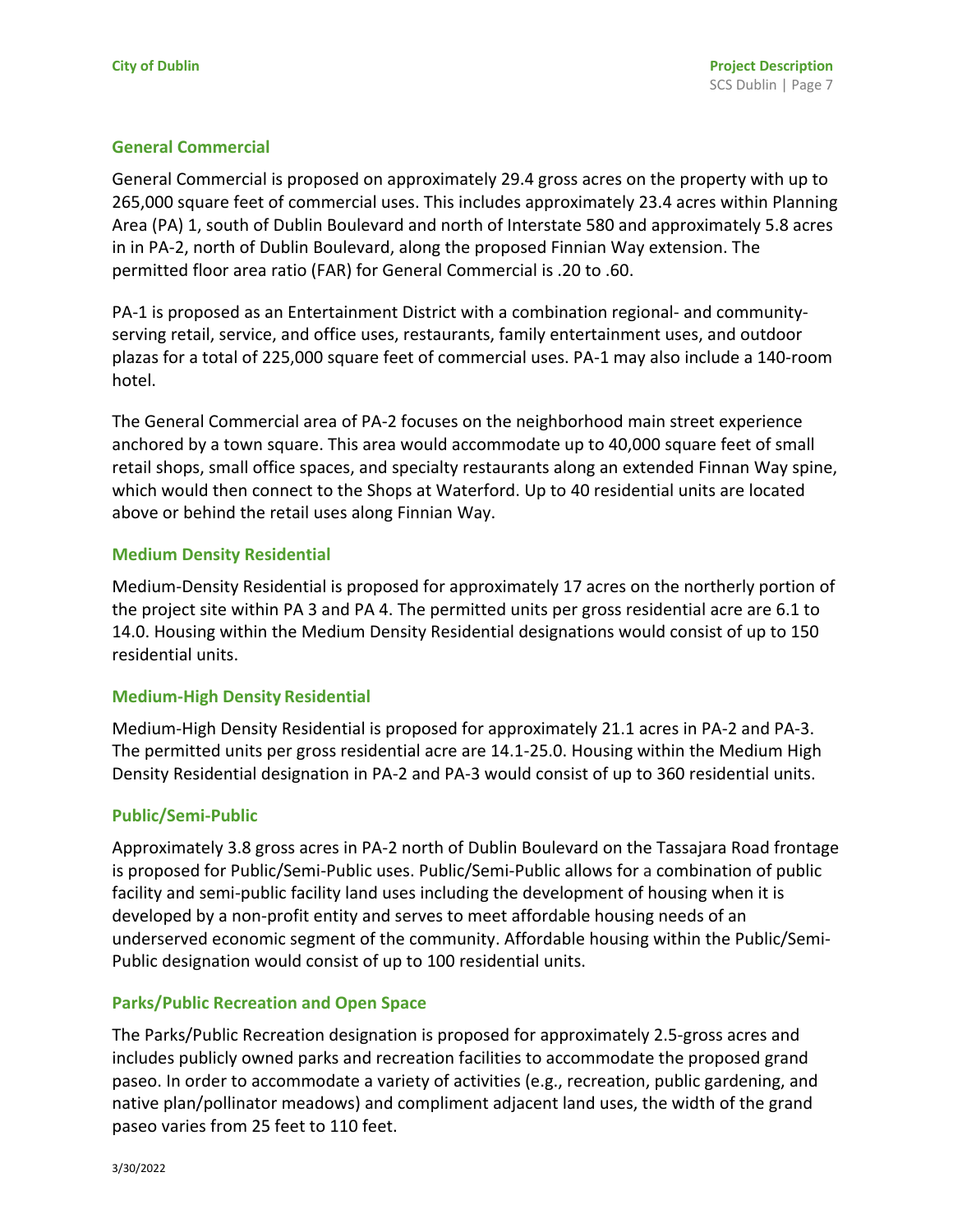## **General Commercial**

General Commercial is proposed on approximately 29.4 gross acres on the property with up to 265,000 square feet of commercial uses. This includes approximately 23.4 acres within Planning Area (PA) 1, south of Dublin Boulevard and north of Interstate 580 and approximately 5.8 acres in in PA-2, north of Dublin Boulevard, along the proposed Finnian Way extension. The permitted floor area ratio (FAR) for General Commercial is .20 to .60.

PA-1 is proposed as an Entertainment District with a combination regional- and communityserving retail, service, and office uses, restaurants, family entertainment uses, and outdoor plazas for a total of 225,000 square feet of commercial uses. PA-1 may also include a 140-room hotel.

The General Commercial area of PA-2 focuses on the neighborhood main street experience anchored by a town square. This area would accommodate up to 40,000 square feet of small retail shops, small office spaces, and specialty restaurants along an extended Finnan Way spine, which would then connect to the Shops at Waterford. Up to 40 residential units are located above or behind the retail uses along Finnian Way.

#### **Medium Density Residential**

Medium-Density Residential is proposed for approximately 17 acres on the northerly portion of the project site within PA 3 and PA 4. The permitted units per gross residential acre are 6.1 to 14.0. Housing within the Medium Density Residential designations would consist of up to 150 residential units.

# **Medium-High Density Residential**

Medium-High Density Residential is proposed for approximately 21.1 acres in PA-2 and PA-3. The permitted units per gross residential acre are 14.1-25.0. Housing within the Medium High Density Residential designation in PA-2 and PA-3 would consist of up to 360 residential units.

# **Public/Semi-Public**

Approximately 3.8 gross acres in PA-2 north of Dublin Boulevard on the Tassajara Road frontage is proposed for Public/Semi-Public uses. Public/Semi-Public allows for a combination of public facility and semi-public facility land uses including the development of housing when it is developed by a non-profit entity and serves to meet affordable housing needs of an underserved economic segment of the community. Affordable housing within the Public/Semi-Public designation would consist of up to 100 residential units.

#### **Parks/Public Recreation and Open Space**

The Parks/Public Recreation designation is proposed for approximately 2.5-gross acres and includes publicly owned parks and recreation facilities to accommodate the proposed grand paseo. In order to accommodate a variety of activities (e.g., recreation, public gardening, and native plan/pollinator meadows) and compliment adjacent land uses, the width of the grand paseo varies from 25 feet to 110 feet.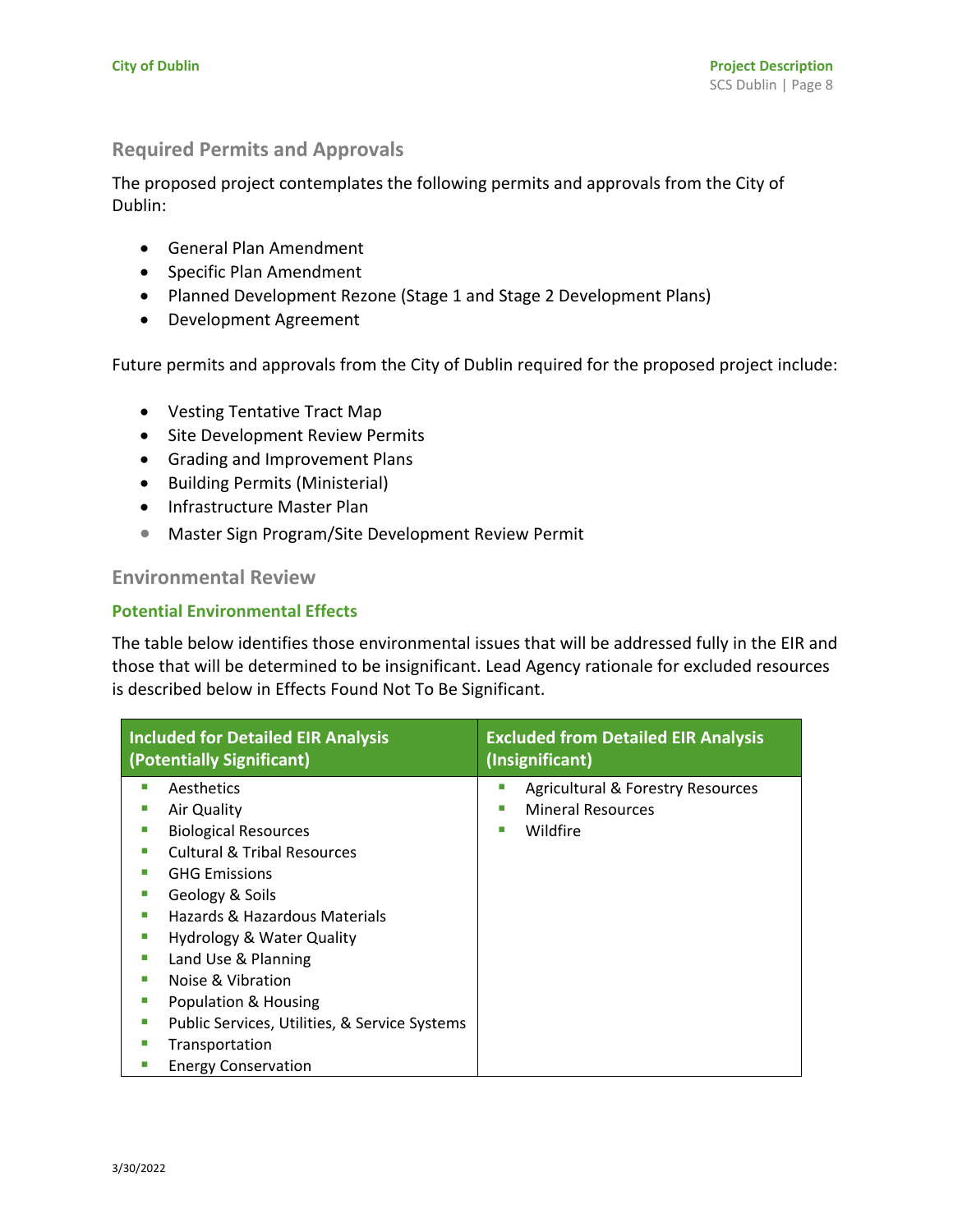# **Required Permits and Approvals**

The proposed project contemplates the following permits and approvals from the City of Dublin:

- General Plan Amendment
- Specific Plan Amendment
- Planned Development Rezone (Stage 1 and Stage 2 Development Plans)
- Development Agreement

Future permits and approvals from the City of Dublin required for the proposed project include:

- Vesting Tentative Tract Map
- Site Development Review Permits
- Grading and Improvement Plans
- Building Permits (Ministerial)
- Infrastructure Master Plan
- Master Sign Program/Site Development Review Permit

# **Environmental Review**

# **Potential Environmental Effects**

The table below identifies those environmental issues that will be addressed fully in the EIR and those that will be determined to be insignificant. Lead Agency rationale for excluded resources is described below in Effects Found Not To Be Significant.

| <b>Included for Detailed EIR Analysis</b><br>(Potentially Significant) | <b>Excluded from Detailed EIR Analysis</b><br>(Insignificant) |  |  |  |
|------------------------------------------------------------------------|---------------------------------------------------------------|--|--|--|
| Aesthetics                                                             | Agricultural & Forestry Resources<br>ш                        |  |  |  |
| Air Quality                                                            | <b>Mineral Resources</b><br>ш                                 |  |  |  |
| <b>Biological Resources</b>                                            | Wildfire                                                      |  |  |  |
| <b>Cultural &amp; Tribal Resources</b>                                 |                                                               |  |  |  |
| <b>GHG Emissions</b>                                                   |                                                               |  |  |  |
| Geology & Soils                                                        |                                                               |  |  |  |
| Hazards & Hazardous Materials                                          |                                                               |  |  |  |
| <b>Hydrology &amp; Water Quality</b>                                   |                                                               |  |  |  |
| Land Use & Planning                                                    |                                                               |  |  |  |
| Noise & Vibration                                                      |                                                               |  |  |  |
| Population & Housing                                                   |                                                               |  |  |  |
| Public Services, Utilities, & Service Systems                          |                                                               |  |  |  |
| Transportation                                                         |                                                               |  |  |  |
| <b>Energy Conservation</b>                                             |                                                               |  |  |  |